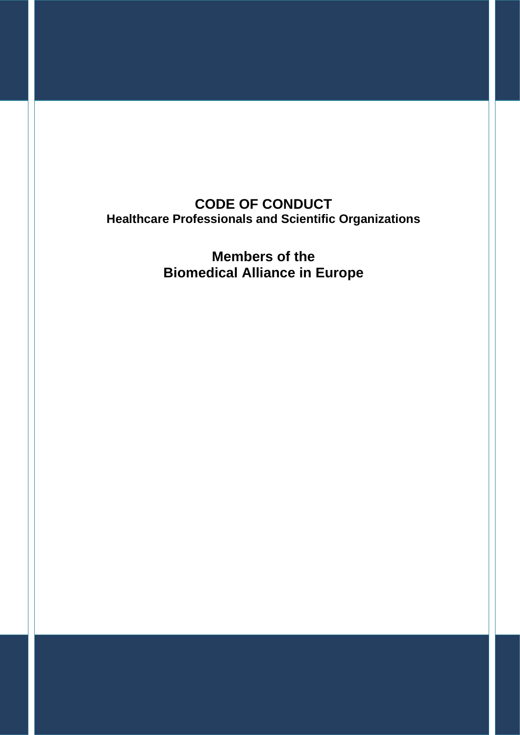**CODE OF CONDUCT Healthcare Professionals and Scientific Organizations**

> **Members of the Biomedical Alliance in Europe**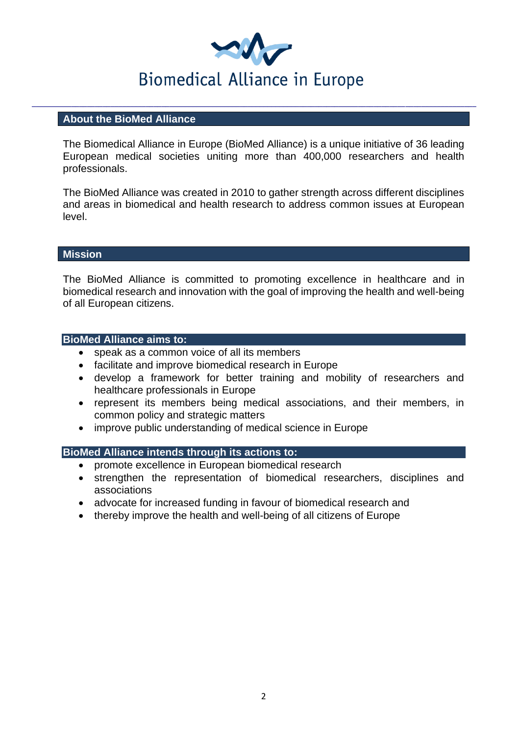

### **About the BioMed Alliance**

The Biomedical Alliance in Europe (BioMed Alliance) is a unique initiative of 36 leading European medical societies uniting more than 400,000 researchers and health professionals.

The BioMed Alliance was created in 2010 to gather strength across different disciplines and areas in biomedical and health research to address common issues at European level.

### **Mission**

The BioMed Alliance is committed to promoting excellence in healthcare and in biomedical research and innovation with the goal of improving the health and well-being of all European citizens.

### **BioMed Alliance aims to:**

- speak as a common voice of all its members
- facilitate and improve biomedical research in Europe
- develop a framework for better training and mobility of researchers and healthcare professionals in Europe
- represent its members being medical associations, and their members, in common policy and strategic matters
- improve public understanding of medical science in Europe

#### **BioMed Alliance intends through its actions to:**

- promote excellence in European biomedical research
- strengthen the representation of biomedical researchers, disciplines and associations
- advocate for increased funding in favour of biomedical research and
- thereby improve the health and well-being of all citizens of Europe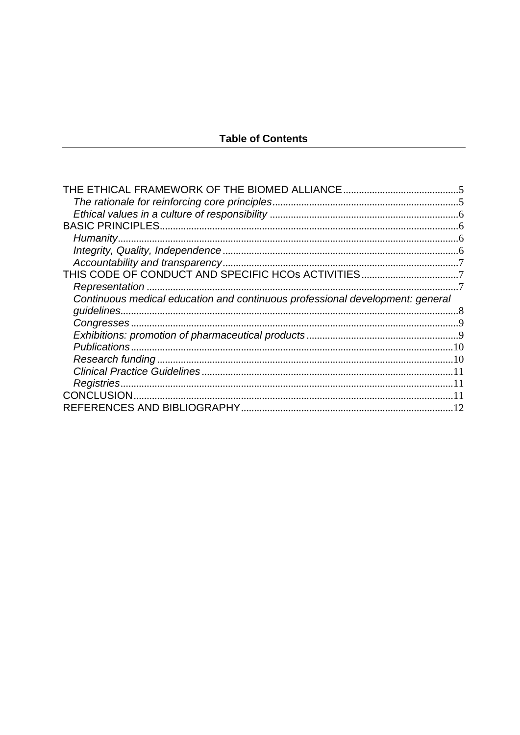## **Table of Contents**

| Humanity                                                                      |  |
|-------------------------------------------------------------------------------|--|
|                                                                               |  |
|                                                                               |  |
|                                                                               |  |
| Representation                                                                |  |
| Continuous medical education and continuous professional development: general |  |
|                                                                               |  |
|                                                                               |  |
|                                                                               |  |
|                                                                               |  |
|                                                                               |  |
|                                                                               |  |
|                                                                               |  |
|                                                                               |  |
|                                                                               |  |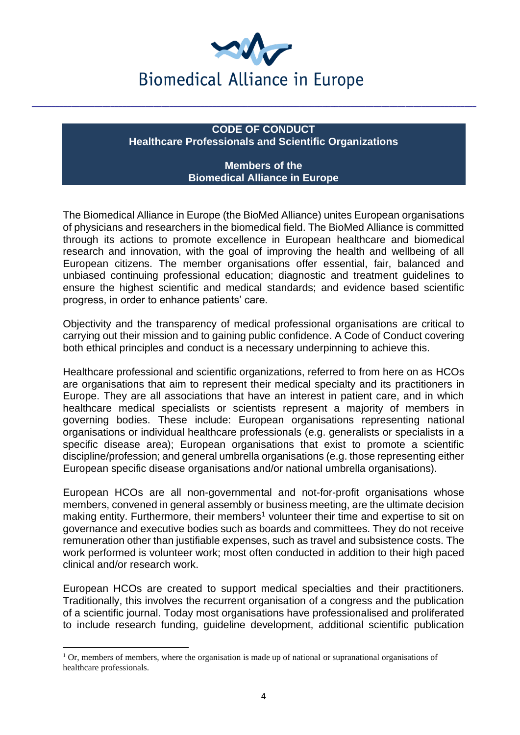

## **CODE OF CONDUCT Healthcare Professionals and Scientific Organizations**

### **Members of the Biomedical Alliance in Europe**

The Biomedical Alliance in Europe (the BioMed Alliance) unites European organisations of physicians and researchers in the biomedical field. The BioMed Alliance is committed through its actions to promote excellence in European healthcare and biomedical research and innovation, with the goal of improving the health and wellbeing of all European citizens. The member organisations offer essential, fair, balanced and unbiased continuing professional education; diagnostic and treatment guidelines to ensure the highest scientific and medical standards; and evidence based scientific progress, in order to enhance patients' care.

Objectivity and the transparency of medical professional organisations are critical to carrying out their mission and to gaining public confidence. A Code of Conduct covering both ethical principles and conduct is a necessary underpinning to achieve this.

Healthcare professional and scientific organizations, referred to from here on as HCOs are organisations that aim to represent their medical specialty and its practitioners in Europe. They are all associations that have an interest in patient care, and in which healthcare medical specialists or scientists represent a majority of members in governing bodies. These include: European organisations representing national organisations or individual healthcare professionals (e.g. generalists or specialists in a specific disease area); European organisations that exist to promote a scientific discipline/profession; and general umbrella organisations (e.g. those representing either European specific disease organisations and/or national umbrella organisations).

European HCOs are all non-governmental and not-for-profit organisations whose members, convened in general assembly or business meeting, are the ultimate decision making entity. Furthermore, their members<sup>1</sup> volunteer their time and expertise to sit on governance and executive bodies such as boards and committees. They do not receive remuneration other than justifiable expenses, such as travel and subsistence costs. The work performed is volunteer work; most often conducted in addition to their high paced clinical and/or research work.

European HCOs are created to support medical specialties and their practitioners. Traditionally, this involves the recurrent organisation of a congress and the publication of a scientific journal. Today most organisations have professionalised and proliferated to include research funding, guideline development, additional scientific publication

<sup>&</sup>lt;sup>1</sup> Or, members of members, where the organisation is made up of national or supranational organisations of healthcare professionals.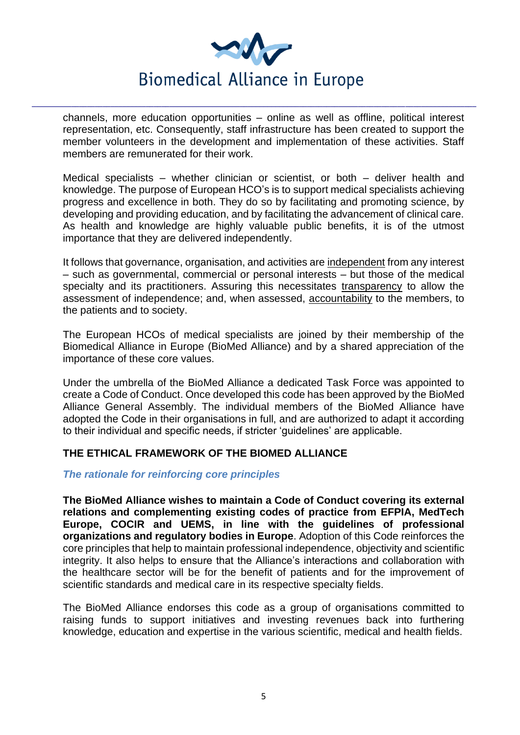

channels, more education opportunities – online as well as offline, political interest representation, etc. Consequently, staff infrastructure has been created to support the member volunteers in the development and implementation of these activities. Staff members are remunerated for their work.

Medical specialists – whether clinician or scientist, or both – deliver health and knowledge. The purpose of European HCO's is to support medical specialists achieving progress and excellence in both. They do so by facilitating and promoting science, by developing and providing education, and by facilitating the advancement of clinical care. As health and knowledge are highly valuable public benefits, it is of the utmost importance that they are delivered independently.

It follows that governance, organisation, and activities are independent from any interest – such as governmental, commercial or personal interests – but those of the medical specialty and its practitioners. Assuring this necessitates transparency to allow the assessment of independence; and, when assessed, accountability to the members, to the patients and to society.

The European HCOs of medical specialists are joined by their membership of the Biomedical Alliance in Europe (BioMed Alliance) and by a shared appreciation of the importance of these core values.

Under the umbrella of the BioMed Alliance a dedicated Task Force was appointed to create a Code of Conduct. Once developed this code has been approved by the BioMed Alliance General Assembly. The individual members of the BioMed Alliance have adopted the Code in their organisations in full, and are authorized to adapt it according to their individual and specific needs, if stricter 'guidelines' are applicable.

### <span id="page-4-0"></span>**THE ETHICAL FRAMEWORK OF THE BIOMED ALLIANCE**

### <span id="page-4-1"></span>*The rationale for reinforcing core principles*

**The BioMed Alliance wishes to maintain a Code of Conduct covering its external relations and complementing existing codes of practice from EFPIA, MedTech Europe, COCIR and UEMS, in line with the guidelines of professional organizations and regulatory bodies in Europe**. Adoption of this Code reinforces the core principles that help to maintain professional independence, objectivity and scientific integrity. It also helps to ensure that the Alliance's interactions and collaboration with the healthcare sector will be for the benefit of patients and for the improvement of scientific standards and medical care in its respective specialty fields.

The BioMed Alliance endorses this code as a group of organisations committed to raising funds to support initiatives and investing revenues back into furthering knowledge, education and expertise in the various scientific, medical and health fields.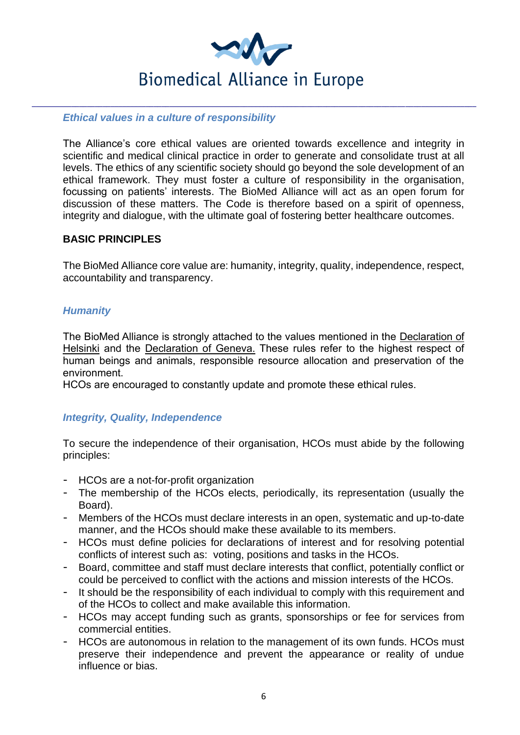

### <span id="page-5-0"></span>*Ethical values in a culture of responsibility*

The Alliance's core ethical values are oriented towards excellence and integrity in scientific and medical clinical practice in order to generate and consolidate trust at all levels. The ethics of any scientific society should go beyond the sole development of an ethical framework. They must foster a culture of responsibility in the organisation, focussing on patients' interests. The BioMed Alliance will act as an open forum for discussion of these matters. The Code is therefore based on a spirit of openness, integrity and dialogue, with the ultimate goal of fostering better healthcare outcomes.

## <span id="page-5-1"></span>**BASIC PRINCIPLES**

The BioMed Alliance core value are: humanity, integrity, quality, independence, respect, accountability and transparency.

## <span id="page-5-2"></span>*Humanity*

The BioMed Alliance is strongly attached to the values mentioned in the Declaration of Helsinki and the Declaration of Geneva. These rules refer to the highest respect of human beings and animals, responsible resource allocation and preservation of the environment.

HCOs are encouraged to constantly update and promote these ethical rules.

## <span id="page-5-3"></span>*Integrity, Quality, Independence*

To secure the independence of their organisation, HCOs must abide by the following principles:

- HCOs are a not-for-profit organization
- The membership of the HCOs elects, periodically, its representation (usually the Board).
- Members of the HCOs must declare interests in an open, systematic and up-to-date manner, and the HCOs should make these available to its members.
- HCOs must define policies for declarations of interest and for resolving potential conflicts of interest such as: voting, positions and tasks in the HCOs.
- Board, committee and staff must declare interests that conflict, potentially conflict or could be perceived to conflict with the actions and mission interests of the HCOs.
- It should be the responsibility of each individual to comply with this requirement and of the HCOs to collect and make available this information.
- HCOs may accept funding such as grants, sponsorships or fee for services from commercial entities.
- HCOs are autonomous in relation to the management of its own funds. HCOs must preserve their independence and prevent the appearance or reality of undue influence or bias.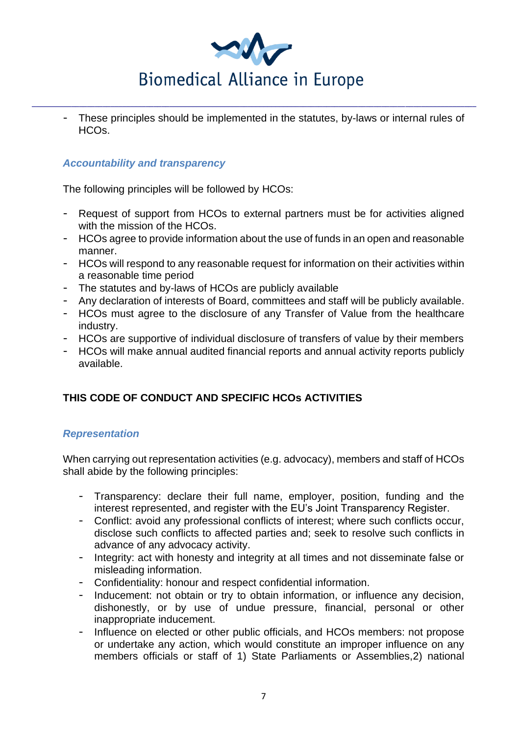

- These principles should be implemented in the statutes, by-laws or internal rules of HCOs.

## <span id="page-6-0"></span>*Accountability and transparency*

The following principles will be followed by HCOs:

- Request of support from HCOs to external partners must be for activities aligned with the mission of the HCOs.
- HCOs agree to provide information about the use of funds in an open and reasonable manner.
- HCOs will respond to any reasonable request for information on their activities within a reasonable time period
- The statutes and by-laws of HCOs are publicly available
- Any declaration of interests of Board, committees and staff will be publicly available.
- HCOs must agree to the disclosure of any Transfer of Value from the healthcare industry.
- HCOs are supportive of individual disclosure of transfers of value by their members
- HCOs will make annual audited financial reports and annual activity reports publicly available.

# <span id="page-6-1"></span>**THIS CODE OF CONDUCT AND SPECIFIC HCOs ACTIVITIES**

### <span id="page-6-2"></span>*Representation*

When carrying out representation activities (e.g. advocacy), members and staff of HCOs shall abide by the following principles:

- Transparency: declare their full name, employer, position, funding and the interest represented, and register with the EU's Joint Transparency Register.
- Conflict: avoid any professional conflicts of interest; where such conflicts occur, disclose such conflicts to affected parties and; seek to resolve such conflicts in advance of any advocacy activity.
- Integrity: act with honesty and integrity at all times and not disseminate false or misleading information.
- Confidentiality: honour and respect confidential information.
- Inducement: not obtain or try to obtain information, or influence any decision, dishonestly, or by use of undue pressure, financial, personal or other inappropriate inducement.
- Influence on elected or other public officials, and HCOs members: not propose or undertake any action, which would constitute an improper influence on any members officials or staff of 1) State Parliaments or Assemblies,2) national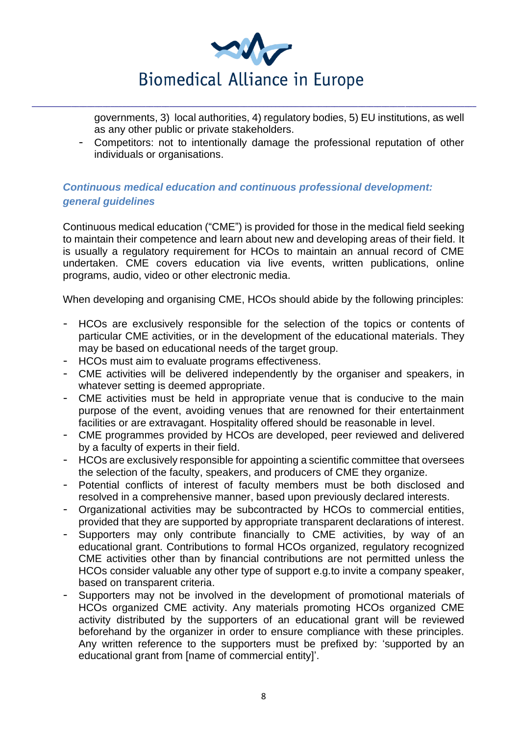

governments, 3) local authorities, 4) regulatory bodies, 5) EU institutions, as well as any other public or private stakeholders.

- Competitors: not to intentionally damage the professional reputation of other individuals or organisations.

## <span id="page-7-0"></span>*Continuous medical education and continuous professional development: general guidelines*

Continuous medical education ("CME") is provided for those in the medical field seeking to maintain their competence and learn about new and developing areas of their field. It is usually a regulatory requirement for HCOs to maintain an annual record of CME undertaken. CME covers education via live events, written publications, online programs, audio, video or other electronic media.

When developing and organising CME, HCOs should abide by the following principles:

- HCOs are exclusively responsible for the selection of the topics or contents of particular CME activities, or in the development of the educational materials. They may be based on educational needs of the target group.
- HCOs must aim to evaluate programs effectiveness.
- CME activities will be delivered independently by the organiser and speakers, in whatever setting is deemed appropriate.
- CME activities must be held in appropriate venue that is conducive to the main purpose of the event, avoiding venues that are renowned for their entertainment facilities or are extravagant. Hospitality offered should be reasonable in level.
- CME programmes provided by HCOs are developed, peer reviewed and delivered by a faculty of experts in their field.
- HCOs are exclusively responsible for appointing a scientific committee that oversees the selection of the faculty, speakers, and producers of CME they organize.
- Potential conflicts of interest of faculty members must be both disclosed and resolved in a comprehensive manner, based upon previously declared interests.
- Organizational activities may be subcontracted by HCOs to commercial entities, provided that they are supported by appropriate transparent declarations of interest.
- Supporters may only contribute financially to CME activities, by way of an educational grant. Contributions to formal HCOs organized, regulatory recognized CME activities other than by financial contributions are not permitted unless the HCOs consider valuable any other type of support e.g.to invite a company speaker, based on transparent criteria.
- Supporters may not be involved in the development of promotional materials of HCOs organized CME activity. Any materials promoting HCOs organized CME activity distributed by the supporters of an educational grant will be reviewed beforehand by the organizer in order to ensure compliance with these principles. Any written reference to the supporters must be prefixed by: 'supported by an educational grant from [name of commercial entity]'.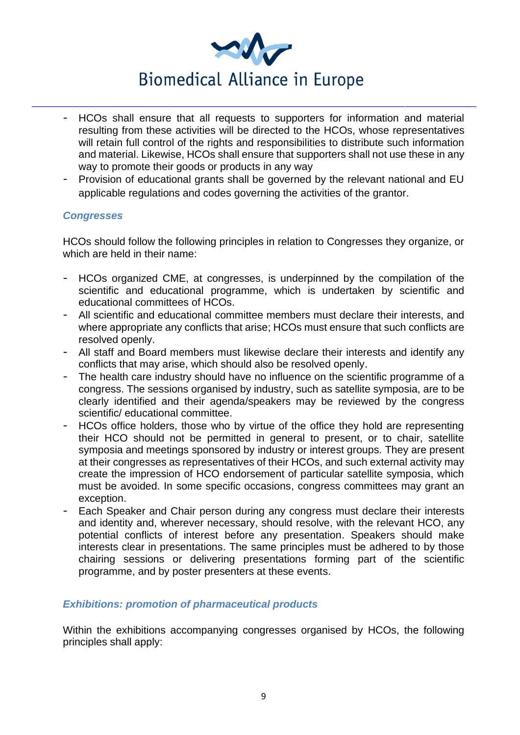

- HCOs shall ensure that all requests to supporters for information and material resulting from these activities will be directed to the HCOs, whose representatives will retain full control of the rights and responsibilities to distribute such information and material. Likewise, HCOs shall ensure that supporters shall not use these in any way to promote their goods or products in any way
- Provision of educational grants shall be governed by the relevant national and EU applicable regulations and codes governing the activities of the grantor.

### <span id="page-8-0"></span>*Congresses*

HCOs should follow the following principles in relation to Congresses they organize, or which are held in their name:

- HCOs organized CME, at congresses, is underpinned by the compilation of the scientific and educational programme, which is undertaken by scientific and educational committees of HCOs.
- All scientific and educational committee members must declare their interests, and where appropriate any conflicts that arise; HCOs must ensure that such conflicts are resolved openly.
- All staff and Board members must likewise declare their interests and identify any conflicts that may arise, which should also be resolved openly.
- The health care industry should have no influence on the scientific programme of a congress. The sessions organised by industry, such as satellite symposia, are to be clearly identified and their agenda/speakers may be reviewed by the congress scientific/ educational committee.
- HCOs office holders, those who by virtue of the office they hold are representing their HCO should not be permitted in general to present, or to chair, satellite symposia and meetings sponsored by industry or interest groups. They are present at their congresses as representatives of their HCOs, and such external activity may create the impression of HCO endorsement of particular satellite symposia, which must be avoided. In some specific occasions, congress committees may grant an exception.
- Each Speaker and Chair person during any congress must declare their interests and identity and, wherever necessary, should resolve, with the relevant HCO, any potential conflicts of interest before any presentation. Speakers should make interests clear in presentations. The same principles must be adhered to by those chairing sessions or delivering presentations forming part of the scientific programme, and by poster presenters at these events.

## <span id="page-8-1"></span>*Exhibitions: promotion of pharmaceutical products*

Within the exhibitions accompanying congresses organised by HCOs, the following principles shall apply: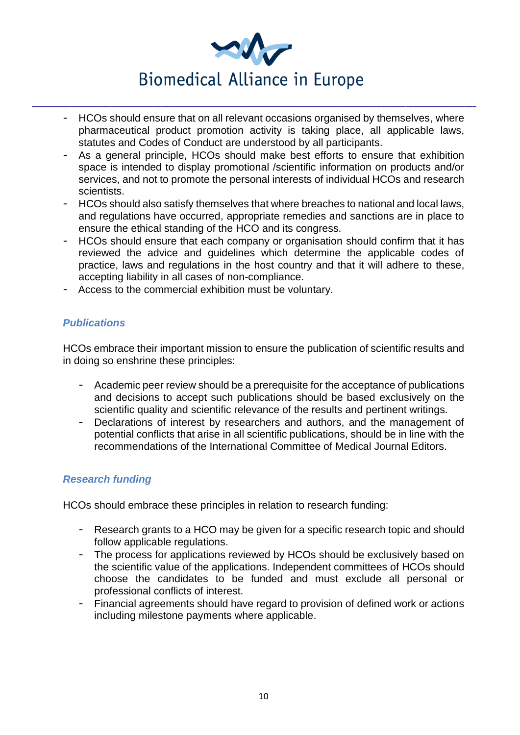

- HCOs should ensure that on all relevant occasions organised by themselves, where pharmaceutical product promotion activity is taking place, all applicable laws, statutes and Codes of Conduct are understood by all participants.
- As a general principle, HCOs should make best efforts to ensure that exhibition space is intended to display promotional /scientific information on products and/or services, and not to promote the personal interests of individual HCOs and research scientists.
- HCOs should also satisfy themselves that where breaches to national and local laws, and regulations have occurred, appropriate remedies and sanctions are in place to ensure the ethical standing of the HCO and its congress.
- HCOs should ensure that each company or organisation should confirm that it has reviewed the advice and guidelines which determine the applicable codes of practice, laws and regulations in the host country and that it will adhere to these, accepting liability in all cases of non-compliance.
- Access to the commercial exhibition must be voluntary.

## <span id="page-9-0"></span>*Publications*

HCOs embrace their important mission to ensure the publication of scientific results and in doing so enshrine these principles:

- Academic peer review should be a prerequisite for the acceptance of publications and decisions to accept such publications should be based exclusively on the scientific quality and scientific relevance of the results and pertinent writings.
- Declarations of interest by researchers and authors, and the management of potential conflicts that arise in all scientific publications, should be in line with the recommendations of the International Committee of Medical Journal Editors.

## <span id="page-9-1"></span>*Research funding*

HCOs should embrace these principles in relation to research funding:

- Research grants to a HCO may be given for a specific research topic and should follow applicable regulations.
- The process for applications reviewed by HCOs should be exclusively based on the scientific value of the applications. Independent committees of HCOs should choose the candidates to be funded and must exclude all personal or professional conflicts of interest.
- Financial agreements should have regard to provision of defined work or actions including milestone payments where applicable.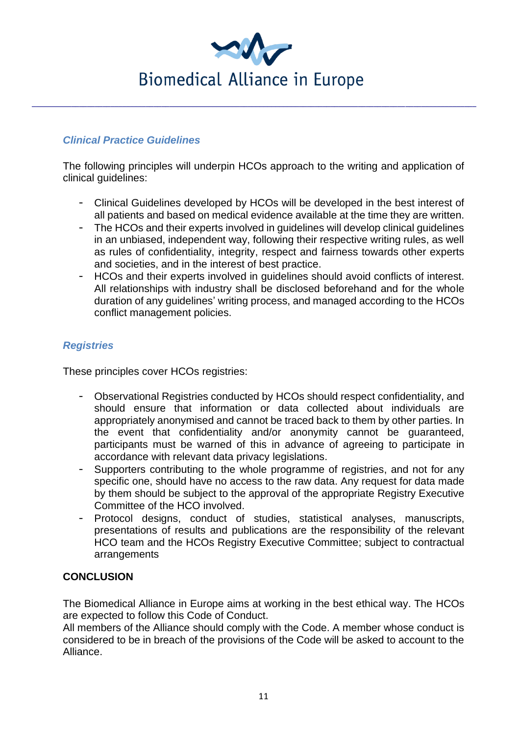

## <span id="page-10-0"></span>*Clinical Practice Guidelines*

The following principles will underpin HCOs approach to the writing and application of clinical guidelines:

- Clinical Guidelines developed by HCOs will be developed in the best interest of all patients and based on medical evidence available at the time they are written.
- The HCOs and their experts involved in guidelines will develop clinical guidelines in an unbiased, independent way, following their respective writing rules, as well as rules of confidentiality, integrity, respect and fairness towards other experts and societies, and in the interest of best practice.
- HCOs and their experts involved in guidelines should avoid conflicts of interest. All relationships with industry shall be disclosed beforehand and for the whole duration of any guidelines' writing process, and managed according to the HCOs conflict management policies.

## <span id="page-10-1"></span>*Registries*

These principles cover HCOs registries:

- Observational Registries conducted by HCOs should respect confidentiality, and should ensure that information or data collected about individuals are appropriately anonymised and cannot be traced back to them by other parties. In the event that confidentiality and/or anonymity cannot be guaranteed, participants must be warned of this in advance of agreeing to participate in accordance with relevant data privacy legislations.
- Supporters contributing to the whole programme of registries, and not for any specific one, should have no access to the raw data. Any request for data made by them should be subject to the approval of the appropriate Registry Executive Committee of the HCO involved.
- Protocol designs, conduct of studies, statistical analyses, manuscripts, presentations of results and publications are the responsibility of the relevant HCO team and the HCOs Registry Executive Committee; subject to contractual arrangements

## <span id="page-10-2"></span>**CONCLUSION**

The Biomedical Alliance in Europe aims at working in the best ethical way. The HCOs are expected to follow this Code of Conduct.

All members of the Alliance should comply with the Code. A member whose conduct is considered to be in breach of the provisions of the Code will be asked to account to the Alliance.